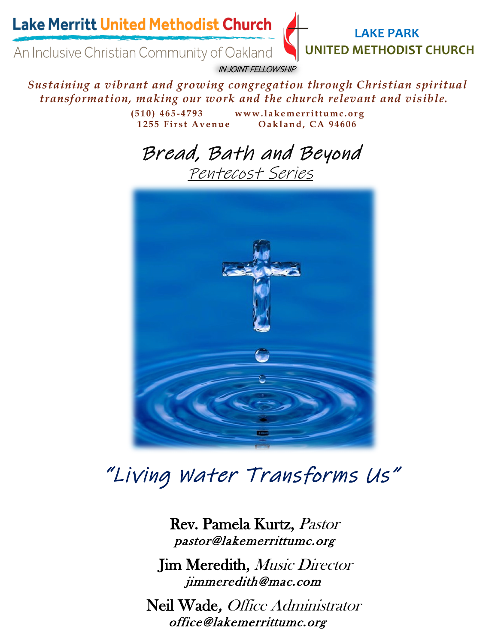**Lake Merritt United Methodist Church** 

An Inclusive Christian Community of Oakland



*Sustaining a vibrant and growing congregation through Christian spiritual transformation, making our work and the church relevant and visible.* 

IN JOINT FELLOWSHIP

**(510) 465 - 4793 www.lakemerrittumc.org 1255 First Avenue Oakland, CA 94606** 

Bread, Bath and Beyond Pentecost Series



# "Living Water Transforms Us"

 Rev. Pamela Kurtz, Pastor pastor@lakemerrittumc.org

Jim Meredith, *Music Director*<br>jimmeredith@mac.com

Neil Wade, Office Administrator<br>office@lakemerrittumc.org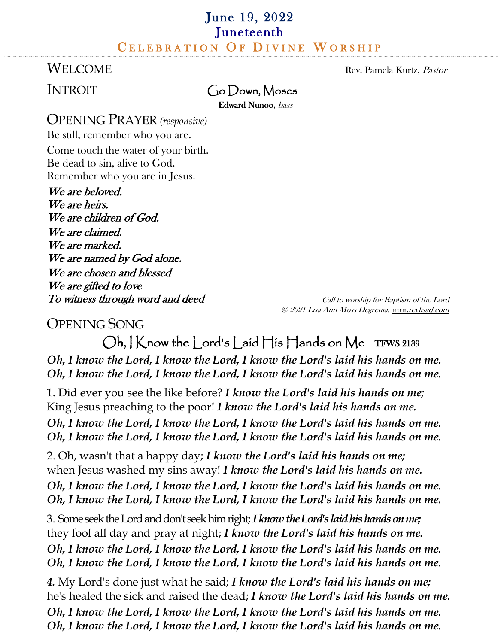### June 19, 2022 Juneteenth CELEBRATION OF DIVINE WORSHIP

### INTROIT Go Down, Moses Edward Nunoo, bass

OPENING PRAYER *(responsive)* Be still, remember who you are. Come touch the water of your birth. Be dead to sin, alive to God. Remember who you are in Jesus.

We are beloved. We are heirs. We are children of God. We are claimed. We are marked. We are named by God alone. We are chosen and blessed We are gifted to love

To witness through word and deed Call to worship for Baptism of the Lord © 2021 Lisa Ann Moss Degrenia, [www.revlisad.com](http://www.revlisad.com/) 

#### OPENING SONG

Oh, I Know the Lord's Laid His Hands on Me TFWS 2139

*Oh, I know the Lord, I know the Lord, I know the Lord's laid his hands on me. Oh, I know the Lord, I know the Lord, I know the Lord's laid his hands on me.*

1. Did ever you see the like before? *I know the Lord's laid his hands on me;* King Jesus preaching to the poor! *I know the Lord's laid his hands on me.*

*Oh, I know the Lord, I know the Lord, I know the Lord's laid his hands on me. Oh, I know the Lord, I know the Lord, I know the Lord's laid his hands on me.*

2. Oh, wasn't that a happy day; *I know the Lord's laid his hands on me;* when Jesus washed my sins away! *I know the Lord's laid his hands on me. Oh, I know the Lord, I know the Lord, I know the Lord's laid his hands on me. Oh, I know the Lord, I know the Lord, I know the Lord's laid his hands on me.*

3. Some seek the Lord and don't seek him right;*I know the Lord's laid his hands on me;* they fool all day and pray at night; *I know the Lord's laid his hands on me.*

*Oh, I know the Lord, I know the Lord, I know the Lord's laid his hands on me. Oh, I know the Lord, I know the Lord, I know the Lord's laid his hands on me.*

*4.* My Lord's done just what he said; *I know the Lord's laid his hands on me;* he's healed the sick and raised the dead; *I know the Lord's laid his hands on me.*

*Oh, I know the Lord, I know the Lord, I know the Lord's laid his hands on me. Oh, I know the Lord, I know the Lord, I know the Lord's laid his hands on me.*

**WELCOME** Rev. Pamela Kurtz, *Pastor*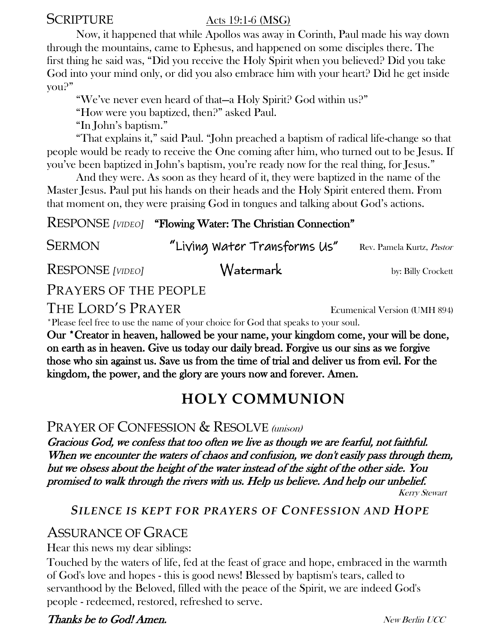#### SCRIPTURE Acts 19:1-6 (MSG)

Now, it happened that while Apollos was away in Corinth, Paul made his way down through the mountains, came to Ephesus, and happened on some disciples there. The first thing he said was, "Did you receive the Holy Spirit when you believed? Did you take God into your mind only, or did you also embrace him with your heart? Did he get inside you?"

"We've never even heard of that—a Holy Spirit? God within us?"

"How were you baptized, then?" asked Paul.

"In John's baptism."

"That explains it," said Paul. "John preached a baptism of radical life-change so that people would be ready to receive the One coming after him, who turned out to be Jesus. If you've been baptized in John's baptism, you're ready now for the real thing, for Jesus."

And they were. As soon as they heard of it, they were baptized in the name of the Master Jesus. Paul put his hands on their heads and the Holy Spirit entered them. From that moment on, they were praising God in tongues and talking about God's actions.

RESPONSE *[VIDEO]* "Flowing Water: The Christian Connection"

| <b>SERMON</b>           | "Living Water Transforms Us" | Rev. Pamela Kurtz, Pastor |
|-------------------------|------------------------------|---------------------------|
| <b>RESPONSE</b> [VIDEO] | Watermark                    | by: Billy Crockett        |

### PRAYERS OF THE PEOPLE

THE LORD'S PRAYER Ecumenical Version (UMH 894)

\*Please feel free to use the name of your choice for God that speaks to your soul.

Our \*Creator in heaven, hallowed be your name, your kingdom come, your will be done, on earth as in heaven. Give us today our daily bread. Forgive us our sins as we forgive those who sin against us. Save us from the time of trial and deliver us from evil. For the kingdom, the power, and the glory are yours now and forever. Amen.

# **HOLY COMMUNION**

PRAYER OF CONFESSION & RESOLVE (unison)

Gracious God, we confess that too often we live as though we are fearful, not faithful. When we encounter the waters of chaos and confusion, we don't easily pass through them, but we obsess about the height of the water instead of the sight of the other side. You promised to walk through the rivers with us. Help us believe. And help our unbelief.<br>Kerry Stewart

#### *SILENCE IS KEPT FOR PRAYERS OF CONFESSION AND HOPE*

## ASSURANCE OF GRACE

Hear this news my dear siblings:

Touched by the waters of life, fed at the feast of grace and hope, embraced in the warmth of God's love and hopes - this is good news! Blessed by baptism's tears, called to servanthood by the Beloved, filled with the peace of the Spirit, we are indeed God's people - redeemed, restored, refreshed to serve.

#### Thanks be to God! Amen.